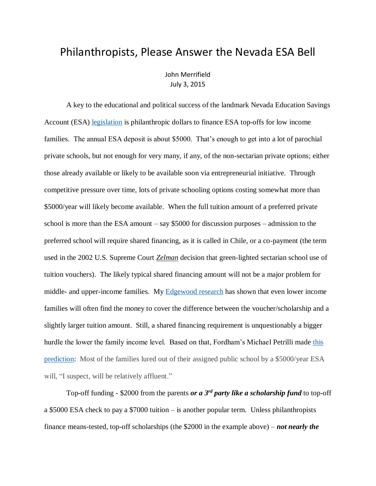## Philanthropists, Please Answer the Nevada ESA Bell

John Merrifield July 3, 2015

A key to the educational and political success of the landmark Nevada Education Savings Account (ESA) [legislation](http://www.schoolsystemreformstudies.net/wp-content/uploads/2016/12/Is-Nevada-an-Adequate-Ignition-Point-for-the-Spread-of-Universal-School-Choice.pdf) is philanthropic dollars to finance ESA top-offs for low income families. The annual ESA deposit is about \$5000. That's enough to get into a lot of parochial private schools, but not enough for very many, if any, of the non-sectarian private options; either those already available or likely to be available soon via entrepreneurial initiative. Through competitive pressure over time, lots of private schooling options costing somewhat more than \$5000/year will likely become available. When the full tuition amount of a preferred private school is more than the ESA amount – say \$5000 for discussion purposes – admission to the preferred school will require shared financing, as it is called in Chile, or a co-payment (the term used in the 2002 U.S. Supreme Court *Zelman* decision that green-lighted sectarian school use of tuition vouchers). The likely typical shared financing amount will not be a major problem for middle- and upper-income families. My [Edgewood research](http://faculty.business.utsa.edu/jmerrifi/evp.pdf) has shown that even lower income families will often find the money to cover the difference between the voucher/scholarship and a slightly larger tuition amount. Still, a shared financing requirement is unquestionably a bigger hurdle the lower the family income level. Based on that, Fordham's Michael Petrilli made [this](http://edexcellence.net/articles/esas-arent-for-everyone?utm_source=Fordham+Updates&utm_campaign=d4198733c8-20150701_EducationGadflyWeekly7_1_2015&utm_medium=email&utm_term=0_d9e8246adf-d4198733c8-71509369)  [prediction:](http://edexcellence.net/articles/esas-arent-for-everyone?utm_source=Fordham+Updates&utm_campaign=d4198733c8-20150701_EducationGadflyWeekly7_1_2015&utm_medium=email&utm_term=0_d9e8246adf-d4198733c8-71509369) Most of the families lured out of their assigned public school by a \$5000/year ESA will, "I suspect, will be relatively affluent."

Top-off funding - \$2000 from the parents *or a 3rd party like a scholarship fund* to top-off a \$5000 ESA check to pay a \$7000 tuition – is another popular term. Unless philanthropists finance means-tested, top-off scholarships (the \$2000 in the example above) – *not nearly the*